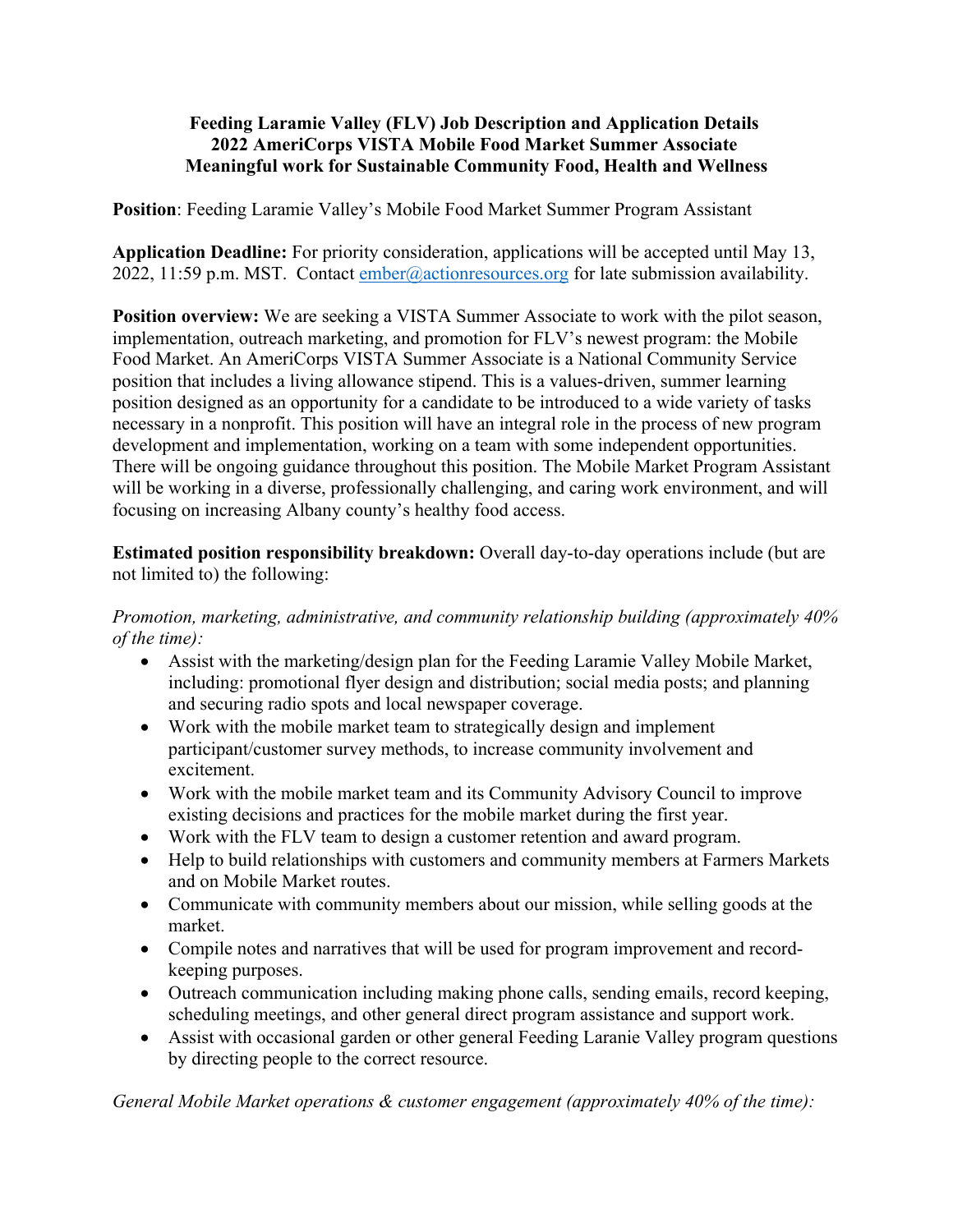## **Feeding Laramie Valley (FLV) Job Description and Application Details 2022 AmeriCorps VISTA Mobile Food Market Summer Associate Meaningful work for Sustainable Community Food, Health and Wellness**

**Position**: Feeding Laramie Valley's Mobile Food Market Summer Program Assistant

**Application Deadline:** For priority consideration, applications will be accepted until May 13, 2022, 11:59 p.m. MST. Contact ember@actionresources.org for late submission availability.

**Position overview:** We are seeking a VISTA Summer Associate to work with the pilot season, implementation, outreach marketing, and promotion for FLV's newest program: the Mobile Food Market. An AmeriCorps VISTA Summer Associate is a National Community Service position that includes a living allowance stipend. This is a values-driven, summer learning position designed as an opportunity for a candidate to be introduced to a wide variety of tasks necessary in a nonprofit. This position will have an integral role in the process of new program development and implementation, working on a team with some independent opportunities. There will be ongoing guidance throughout this position. The Mobile Market Program Assistant will be working in a diverse, professionally challenging, and caring work environment, and will focusing on increasing Albany county's healthy food access.

**Estimated position responsibility breakdown:** Overall day-to-day operations include (but are not limited to) the following:

*Promotion, marketing, administrative, and community relationship building (approximately 40% of the time):*

- Assist with the marketing/design plan for the Feeding Laramie Valley Mobile Market, including: promotional flyer design and distribution; social media posts; and planning and securing radio spots and local newspaper coverage.
- Work with the mobile market team to strategically design and implement participant/customer survey methods, to increase community involvement and excitement.
- Work with the mobile market team and its Community Advisory Council to improve existing decisions and practices for the mobile market during the first year.
- Work with the FLV team to design a customer retention and award program.
- Help to build relationships with customers and community members at Farmers Markets and on Mobile Market routes.
- Communicate with community members about our mission, while selling goods at the market.
- Compile notes and narratives that will be used for program improvement and recordkeeping purposes.
- Outreach communication including making phone calls, sending emails, record keeping, scheduling meetings, and other general direct program assistance and support work.
- Assist with occasional garden or other general Feeding Laranie Valley program questions by directing people to the correct resource.

*General Mobile Market operations & customer engagement (approximately 40% of the time):*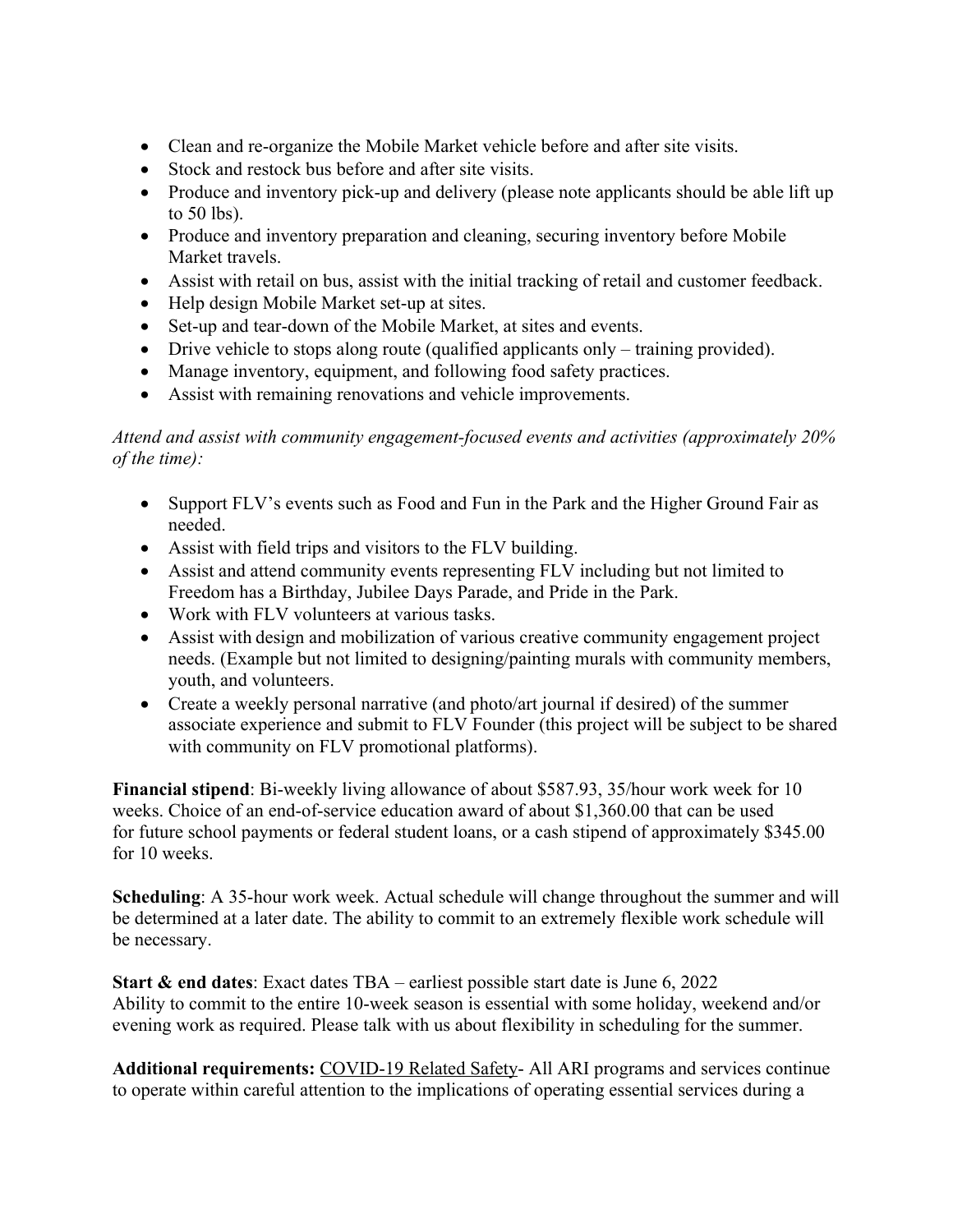- Clean and re-organize the Mobile Market vehicle before and after site visits.
- Stock and restock bus before and after site visits.
- Produce and inventory pick-up and delivery (please note applicants should be able lift up to 50 lbs).
- Produce and inventory preparation and cleaning, securing inventory before Mobile Market travels.
- Assist with retail on bus, assist with the initial tracking of retail and customer feedback.
- Help design Mobile Market set-up at sites.
- Set-up and tear-down of the Mobile Market, at sites and events.
- Drive vehicle to stops along route (qualified applicants only training provided).
- Manage inventory, equipment, and following food safety practices.
- Assist with remaining renovations and vehicle improvements.

## *Attend and assist with community engagement-focused events and activities (approximately 20% of the time):*

- Support FLV's events such as Food and Fun in the Park and the Higher Ground Fair as needed.
- Assist with field trips and visitors to the FLV building.
- Assist and attend community events representing FLV including but not limited to Freedom has a Birthday, Jubilee Days Parade, and Pride in the Park.
- Work with FLV volunteers at various tasks.
- Assist with design and mobilization of various creative community engagement project needs. (Example but not limited to designing/painting murals with community members, youth, and volunteers.
- Create a weekly personal narrative (and photo/art journal if desired) of the summer associate experience and submit to FLV Founder (this project will be subject to be shared with community on FLV promotional platforms).

**Financial stipend**: Bi-weekly living allowance of about \$587.93, 35/hour work week for 10 weeks. Choice of an end-of-service education award of about \$1,360.00 that can be used for future school payments or federal student loans, or a cash stipend of approximately \$345.00 for 10 weeks.

**Scheduling**: A 35-hour work week. Actual schedule will change throughout the summer and will be determined at a later date. The ability to commit to an extremely flexible work schedule will be necessary.

**Start & end dates**: Exact dates TBA – earliest possible start date is June 6, 2022 Ability to commit to the entire 10-week season is essential with some holiday, weekend and/or evening work as required. Please talk with us about flexibility in scheduling for the summer.

**Additional requirements:** COVID-19 Related Safety- All ARI programs and services continue to operate within careful attention to the implications of operating essential services during a